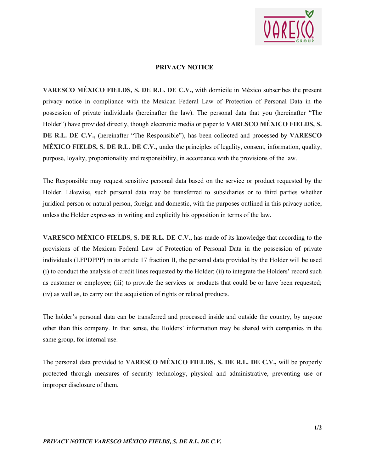

## **PRIVACY NOTICE**

**VARESCO MÉXICO FIELDS, S. DE R.L. DE C.V.,** with domicile in México subscribes the present privacy notice in compliance with the Mexican Federal Law of Protection of Personal Data in the possession of private individuals (hereinafter the law). The personal data that you (hereinafter "The Holder") have provided directly, though electronic media or paper to **VARESCO MÉXICO FIELDS, S. DE R.L. DE C.V.,** (hereinafter "The Responsible"), has been collected and processed by **VARESCO MÉXICO FIELDS, S. DE R.L. DE C.V.,** under the principles of legality, consent, information, quality, purpose, loyalty, proportionality and responsibility, in accordance with the provisions of the law.

The Responsible may request sensitive personal data based on the service or product requested by the Holder. Likewise, such personal data may be transferred to subsidiaries or to third parties whether juridical person or natural person, foreign and domestic, with the purposes outlined in this privacy notice, unless the Holder expresses in writing and explicitly his opposition in terms of the law.

**VARESCO MÉXICO FIELDS, S. DE R.L. DE C.V.,** has made of its knowledge that according to the provisions of the Mexican Federal Law of Protection of Personal Data in the possession of private individuals (LFPDPPP) in its article 17 fraction II, the personal data provided by the Holder will be used (i) to conduct the analysis of credit lines requested by the Holder; (ii) to integrate the Holders' record such as customer or employee; (iii) to provide the services or products that could be or have been requested; (iv) as well as, to carry out the acquisition of rights or related products.

The holder's personal data can be transferred and processed inside and outside the country, by anyone other than this company. In that sense, the Holders' information may be shared with companies in the same group, for internal use.

The personal data provided to **VARESCO MÉXICO FIELDS, S. DE R.L. DE C.V.,** will be properly protected through measures of security technology, physical and administrative, preventing use or improper disclosure of them.